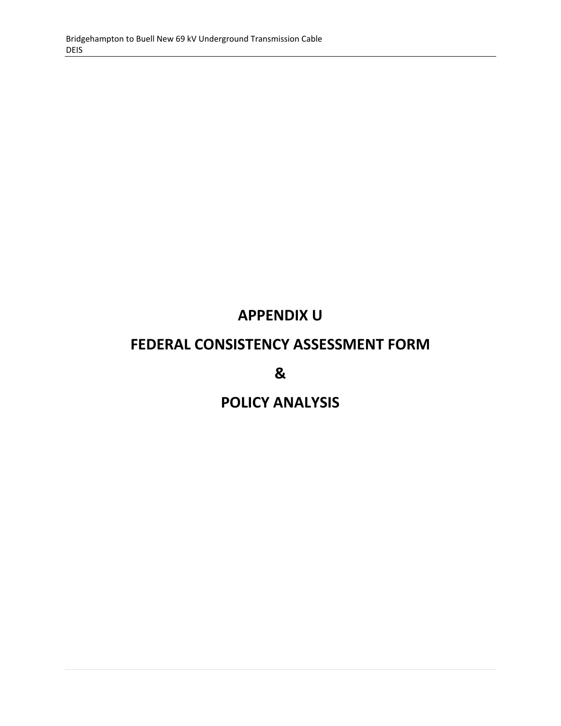# **APPENDIX U**

# **FEDERAL CONSISTENCY ASSESSMENT FORM**

**&** 

# **POLICY ANALYSIS**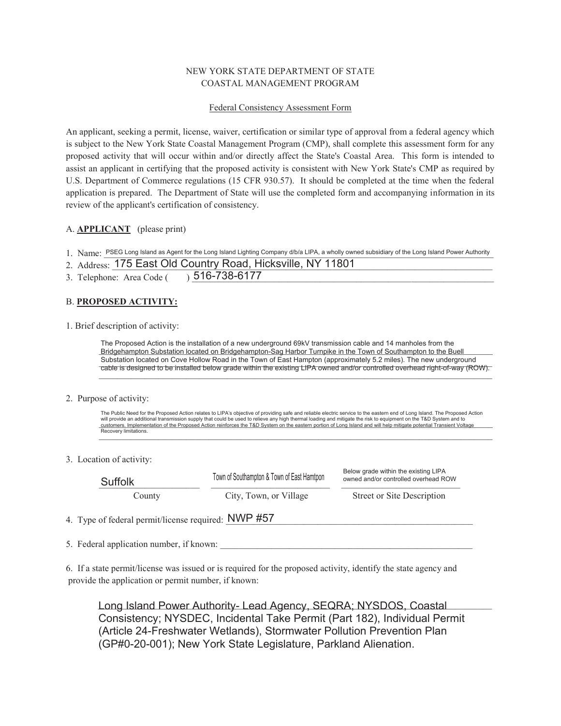# NEW YORK STATE DEPARTMENT OF STATE COASTAL MANAGEMENT PROGRAM

### Federal Consistency Assessment Form

An applicant, seeking a permit, license, waiver, certification or similar type of approval from a federal agency which is subject to the New York State Coastal Management Program (CMP), shall complete this assessment form for any proposed activity that will occur within and/or directly affect the State's Coastal Area. This form is intended to assist an applicant in certifying that the proposed activity is consistent with New York State's CMP as required by U.S. Department of Commerce regulations (15 CFR 930.57). It should be completed at the time when the federal application is prepared. The Department of State will use the completed form and accompanying information in its review of the applicant's certification of consistency.

# A. **APPLICANT** (please print)

1. Name: PSEG Long Island as Agent for the Long Island Lighting Company d/b/a LIPA, a wholly owned subsidiary of the Long Island Power Authority

|  | 2. Address: 175 East Old Country Road, Hicksville, NY 11801 |
|--|-------------------------------------------------------------|
|  | 3. Telephone: Area Code ( ) 516-738-6177                    |

### B. **PROPOSED ACTIVITY:**

1. Brief description of activity:

Bridgehampton Substation located on Bridgehampton-Sag Harbor Turnpike in the Town of Southampton to the Buell Substation located on Cove Hollow Road in the Town of East Hampton (approximately 5.2 miles). The new underground<br>cable is decised to be installed holesy are de within the evisiting LIPA curred and/approximatelled everyboo  $_2$  cable is designed to be installed below grade within the existing LIPA owned and/or controlled overhead right-of-way (ROW). $-$ The Proposed Action is the installation of a new underground 69kV transmission cable and 14 manholes from the

#### 2. Purpose of activity:

will provide an additional transmission supply that could be used to relieve any nigh and margit and mitigate the fit and the benchment on the i and bystem and to<br>Customers. Implementation of the Proposed Action reinforces Necovery limitations. The Public Need for the Proposed Action relates to LIPA's objective of providing safe and reliable electric service to the eastern end of Long Island. The Proposed Action<br>will provide an additional transmission supply that Recovery limitations.

#### 3. Location of activity:

| Suffolk                                             | Town of Southampton & Town of East Hamtpon | Below grade within the existing LIPA<br>owned and/or controlled overhead ROW |  |
|-----------------------------------------------------|--------------------------------------------|------------------------------------------------------------------------------|--|
| County                                              | City, Town, or Village                     | <b>Street or Site Description</b>                                            |  |
| 4. Type of federal permit/license required: NWP #57 |                                            |                                                                              |  |

5. Federal application number, if known:

6. If a state permit/license was issued or is required for the proposed activity, identify the state agency and provide the application or permit number, if known:

Long Island Power Authority- Lead Agency, SEQRA; NYSDOS, Coastal **Languing Contact** Consistency; NYSDEC, Incidental Take Permit (Part 182), Individual Permit (Article 24-Freshwater Wetlands), Stormwater Pollution Prevention Plan (GP#0-20-001); New York State Legislature, Parkland Alienation.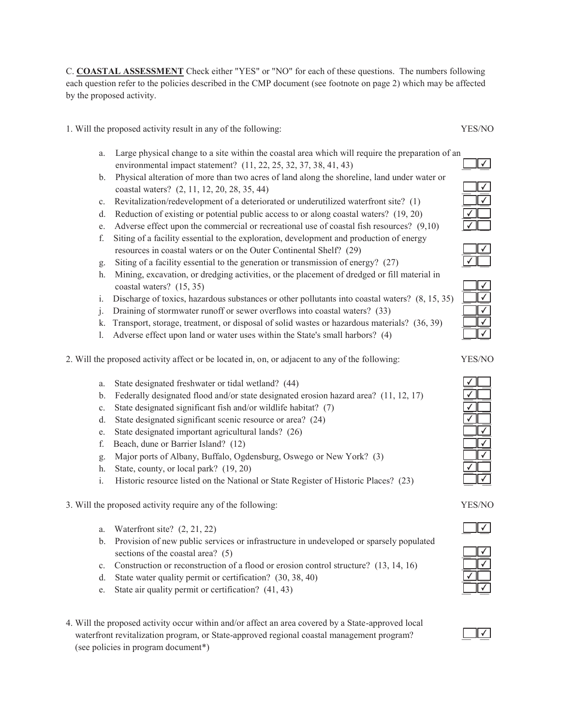C. **COASTAL ASSESSMENT** Check either "YES" or "NO" for each of these questions. The numbers following each question refer to the policies described in the CMP document (see footnote on page 2) which may be affected by the proposed activity.

1. Will the proposed activity result in any of the following: YES/NO

- a. Large physical change to a site within the coastal area which will require the preparation of an environmental impact statement? (11, 22, 25, 32, 37, 38, 41, 43)
- b. Physical alteration of more than two acres of land along the shoreline, land under water or coastal waters? (2, 11, 12, 20, 28, 35, 44) \_\_ \_\_
- c. Revitalization/redevelopment of a deteriorated or underutilized waterfront site? (1)
- d. Reduction of existing or potential public access to or along coastal waters?  $(19, 20)$
- e. Adverse effect upon the commercial or recreational use of coastal fish resources?  $(9,10)$
- f. Siting of a facility essential to the exploration, development and production of energy resources in coastal waters or on the Outer Continental Shelf? (29)
- g. Siting of a facility essential to the generation or transmission of energy? (27)
- h. Mining, excavation, or dredging activities, or the placement of dredged or fill material in coastal waters?  $(15, 35)$
- i. Discharge of toxics, hazardous substances or other pollutants into coastal waters?  $(8, 15, 35)$
- j. Draining of stormwater runoff or sewer overflows into coastal waters? (33)
- k. Transport, storage, treatment, or disposal of solid wastes or hazardous materials? (36, 39)
- l. Adverse effect upon land or water uses within the State's small harbors? (4) \_\_ \_\_
- 2. Will the proposed activity affect or be located in, on, or adjacent to any of the following: YES/NO
	- a. State designated freshwater or tidal wetland? (44)
	- b. Federally designated flood and/or state designated erosion hazard area?  $(11, 12, 17)$
	- c. State designated significant fish and/or wildlife habitat? (7)
	- d. State designated significant scenic resource or area? (24)
	- e. State designated important agricultural lands? (26)
	- f. Beach, dune or Barrier Island?  $(12)$
	- g. Major ports of Albany, Buffalo, Ogdensburg, Oswego or New York? (3) \_\_ \_\_
	- h. State, county, or local park?  $(19, 20)$
	- i. Historic resource listed on the National or State Register of Historic Places? (23)
- 3. Will the proposed activity require any of the following: YES/NO
	- a. Waterfront site?  $(2, 21, 22)$
	- b. Provision of new public services or infrastructure in undeveloped or sparsely populated sections of the coastal area?  $(5)$
	- c. Construction or reconstruction of a flood or erosion control structure?  $(13, 14, 16)$
	- d. State water quality permit or certification?  $(30, 38, 40)$
	- e. State air quality permit or certification?  $(41, 43)$
- 4. Will the proposed activity occur within and/or affect an area covered by a State-approved local waterfront revitalization program, or State-approved regional coastal management program? (see policies in program document\*)

✔ ✔

✔









✔  $\sqrt{ }$ 

 $\overline{|\sqrt{ }}$ 

∟⊻∟

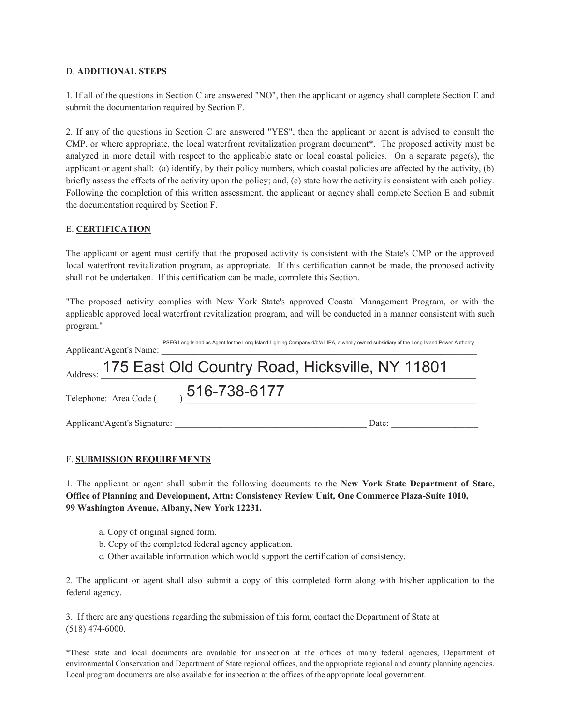### D. **ADDITIONAL STEPS**

1. If all of the questions in Section C are answered "NO", then the applicant or agency shall complete Section E and submit the documentation required by Section F.

2. If any of the questions in Section C are answered "YES", then the applicant or agent is advised to consult the CMP, or where appropriate, the local waterfront revitalization program document\*. The proposed activity must be analyzed in more detail with respect to the applicable state or local coastal policies. On a separate page(s), the applicant or agent shall: (a) identify, by their policy numbers, which coastal policies are affected by the activity, (b) briefly assess the effects of the activity upon the policy; and, (c) state how the activity is consistent with each policy. Following the completion of this written assessment, the applicant or agency shall complete Section E and submit the documentation required by Section F.

# E. **CERTIFICATION**

The applicant or agent must certify that the proposed activity is consistent with the State's CMP or the approved local waterfront revitalization program, as appropriate. If this certification cannot be made, the proposed activity shall not be undertaken. If this certification can be made, complete this Section.

"The proposed activity complies with New York State's approved Coastal Management Program, or with the applicable approved local waterfront revitalization program, and will be conducted in a manner consistent with such program."

| Applicant/Agent's Name:      | PSEG Long Island as Agent for the Long Island Lighting Company d/b/a LIPA, a wholly owned subsidiary of the Long Island Power Authority |  |
|------------------------------|-----------------------------------------------------------------------------------------------------------------------------------------|--|
|                              | Address: 175 East Old Country Road, Hicksville, NY 11801                                                                                |  |
| Telephone: Area Code (       | 516-738-6177                                                                                                                            |  |
| Applicant/Agent's Signature: | Date:                                                                                                                                   |  |

# F. **SUBMISSION REQUIREMENTS**

1. The applicant or agent shall submit the following documents to the **New York State Department of State, Office of Planning and Development, Attn: Consistency Review Unit, One Commerce Plaza-Suite 1010, 99 Washington Avenue, Albany, New York 12231.**

- a. Copy of original signed form.
- b. Copy of the completed federal agency application.
- c. Other available information which would support the certification of consistency.

2. The applicant or agent shall also submit a copy of this completed form along with his/her application to the federal agency.

3. If there are any questions regarding the submission of this form, contact the Department of State at (518) 474-6000.

\*These state and local documents are available for inspection at the offices of many federal agencies, Department of environmental Conservation and Department of State regional offices, and the appropriate regional and county planning agencies. Local program documents are also available for inspection at the offices of the appropriate local government.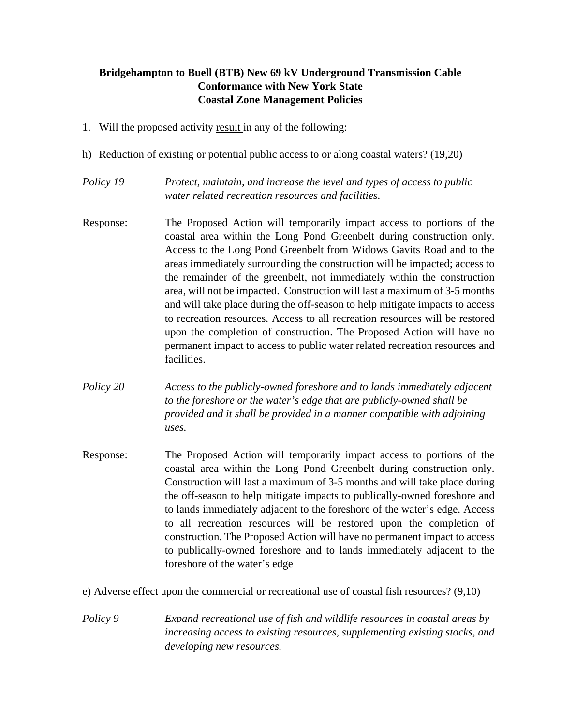# **Bridgehampton to Buell (BTB) New 69 kV Underground Transmission Cable Conformance with New York State Coastal Zone Management Policies**

- 1. Will the proposed activity result in any of the following:
- h) Reduction of existing or potential public access to or along coastal waters? (19,20)
- *Policy 19 Protect, maintain, and increase the level and types of access to public water related recreation resources and facilities.*
- Response: The Proposed Action will temporarily impact access to portions of the coastal area within the Long Pond Greenbelt during construction only. Access to the Long Pond Greenbelt from Widows Gavits Road and to the areas immediately surrounding the construction will be impacted; access to the remainder of the greenbelt, not immediately within the construction area, will not be impacted. Construction will last a maximum of 3-5 months and will take place during the off-season to help mitigate impacts to access to recreation resources. Access to all recreation resources will be restored upon the completion of construction. The Proposed Action will have no permanent impact to access to public water related recreation resources and facilities.
- *Policy 20 Access to the publicly-owned foreshore and to lands immediately adjacent to the foreshore or the water's edge that are publicly-owned shall be provided and it shall be provided in a manner compatible with adjoining uses.*
- Response: The Proposed Action will temporarily impact access to portions of the coastal area within the Long Pond Greenbelt during construction only. Construction will last a maximum of 3-5 months and will take place during the off-season to help mitigate impacts to publically-owned foreshore and to lands immediately adjacent to the foreshore of the water's edge. Access to all recreation resources will be restored upon the completion of construction. The Proposed Action will have no permanent impact to access to publically-owned foreshore and to lands immediately adjacent to the foreshore of the water's edge
- e) Adverse effect upon the commercial or recreational use of coastal fish resources? (9,10)
- *Policy 9 Expand recreational use of fish and wildlife resources in coastal areas by increasing access to existing resources, supplementing existing stocks, and developing new resources.*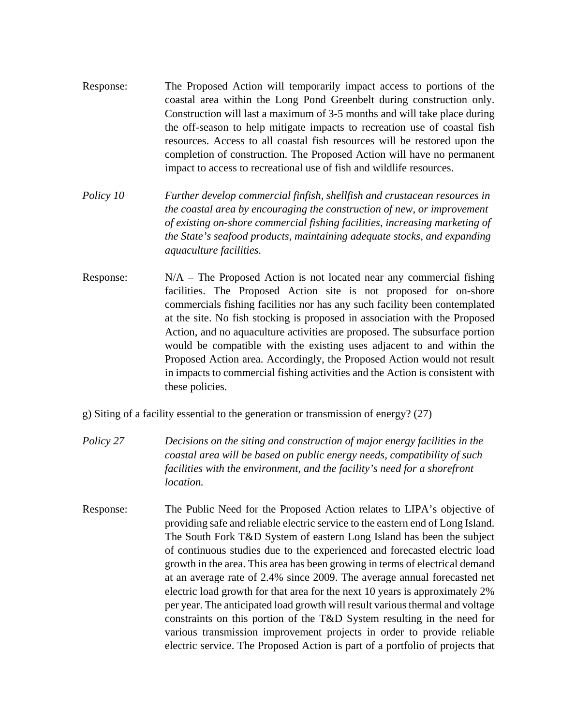- Response: The Proposed Action will temporarily impact access to portions of the coastal area within the Long Pond Greenbelt during construction only. Construction will last a maximum of 3-5 months and will take place during the off-season to help mitigate impacts to recreation use of coastal fish resources. Access to all coastal fish resources will be restored upon the completion of construction. The Proposed Action will have no permanent impact to access to recreational use of fish and wildlife resources.
- *Policy 10 Further develop commercial finfish, shellfish and crustacean resources in the coastal area by encouraging the construction of new, or improvement of existing on-shore commercial fishing facilities, increasing marketing of the State's seafood products, maintaining adequate stocks, and expanding aquaculture facilities.*
- Response:  $N/A$  The Proposed Action is not located near any commercial fishing facilities. The Proposed Action site is not proposed for on-shore commercials fishing facilities nor has any such facility been contemplated at the site. No fish stocking is proposed in association with the Proposed Action, and no aquaculture activities are proposed. The subsurface portion would be compatible with the existing uses adjacent to and within the Proposed Action area. Accordingly, the Proposed Action would not result in impacts to commercial fishing activities and the Action is consistent with these policies.
- g) Siting of a facility essential to the generation or transmission of energy? (27)
- *Policy 27 Decisions on the siting and construction of major energy facilities in the coastal area will be based on public energy needs, compatibility of such*  facilities with the environment, and the facility's need for a shorefront *location.*
- Response: The Public Need for the Proposed Action relates to LIPA's objective of providing safe and reliable electric service to the eastern end of Long Island. The South Fork T&D System of eastern Long Island has been the subject of continuous studies due to the experienced and forecasted electric load growth in the area. This area has been growing in terms of electrical demand at an average rate of 2.4% since 2009. The average annual forecasted net electric load growth for that area for the next 10 years is approximately 2% per year. The anticipated load growth will result various thermal and voltage constraints on this portion of the T&D System resulting in the need for various transmission improvement projects in order to provide reliable electric service. The Proposed Action is part of a portfolio of projects that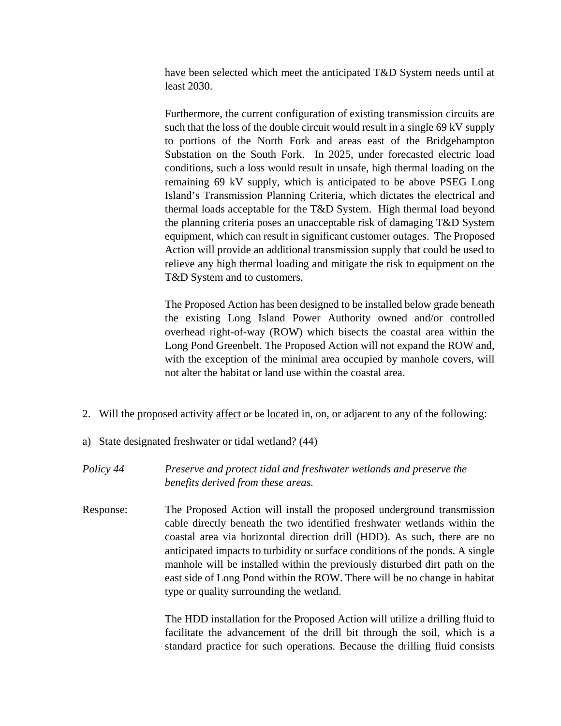have been selected which meet the anticipated T&D System needs until at least 2030.

Furthermore, the current configuration of existing transmission circuits are such that the loss of the double circuit would result in a single 69 kV supply to portions of the North Fork and areas east of the Bridgehampton Substation on the South Fork. In 2025, under forecasted electric load conditions, such a loss would result in unsafe, high thermal loading on the remaining 69 kV supply, which is anticipated to be above PSEG Long Island's Transmission Planning Criteria, which dictates the electrical and thermal loads acceptable for the T&D System. High thermal load beyond the planning criteria poses an unacceptable risk of damaging T&D System equipment, which can result in significant customer outages. The Proposed Action will provide an additional transmission supply that could be used to relieve any high thermal loading and mitigate the risk to equipment on the T&D System and to customers.

The Proposed Action has been designed to be installed below grade beneath the existing Long Island Power Authority owned and/or controlled overhead right-of-way (ROW) which bisects the coastal area within the Long Pond Greenbelt. The Proposed Action will not expand the ROW and, with the exception of the minimal area occupied by manhole covers, will not alter the habitat or land use within the coastal area.

- 2. Will the proposed activity affect or be located in, on, or adjacent to any of the following:
- a) State designated freshwater or tidal wetland? (44)

*Policy 44 Preserve and protect tidal and freshwater wetlands and preserve the benefits derived from these areas.*

Response: The Proposed Action will install the proposed underground transmission cable directly beneath the two identified freshwater wetlands within the coastal area via horizontal direction drill (HDD). As such, there are no anticipated impacts to turbidity or surface conditions of the ponds. A single manhole will be installed within the previously disturbed dirt path on the east side of Long Pond within the ROW. There will be no change in habitat type or quality surrounding the wetland.

> The HDD installation for the Proposed Action will utilize a drilling fluid to facilitate the advancement of the drill bit through the soil, which is a standard practice for such operations. Because the drilling fluid consists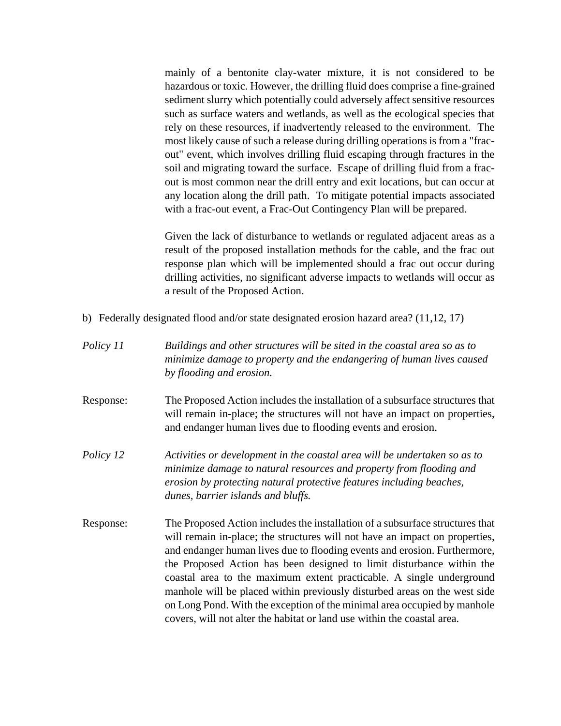mainly of a bentonite clay-water mixture, it is not considered to be hazardous or toxic. However, the drilling fluid does comprise a fine-grained sediment slurry which potentially could adversely affect sensitive resources such as surface waters and wetlands, as well as the ecological species that rely on these resources, if inadvertently released to the environment. The most likely cause of such a release during drilling operations is from a "fracout" event, which involves drilling fluid escaping through fractures in the soil and migrating toward the surface. Escape of drilling fluid from a fracout is most common near the drill entry and exit locations, but can occur at any location along the drill path. To mitigate potential impacts associated with a frac-out event, a Frac-Out Contingency Plan will be prepared.

Given the lack of disturbance to wetlands or regulated adjacent areas as a result of the proposed installation methods for the cable, and the frac out response plan which will be implemented should a frac out occur during drilling activities, no significant adverse impacts to wetlands will occur as a result of the Proposed Action.

- b) Federally designated flood and/or state designated erosion hazard area? (11,12, 17)
- *Policy 11 Buildings and other structures will be sited in the coastal area so as to minimize damage to property and the endangering of human lives caused by flooding and erosion.*
- Response: The Proposed Action includes the installation of a subsurface structures that will remain in-place; the structures will not have an impact on properties, and endanger human lives due to flooding events and erosion.
- *Policy 12 Activities or development in the coastal area will be undertaken so as to minimize damage to natural resources and property from flooding and erosion by protecting natural protective features including beaches, dunes, barrier islands and bluffs.*
- Response: The Proposed Action includes the installation of a subsurface structures that will remain in-place; the structures will not have an impact on properties, and endanger human lives due to flooding events and erosion. Furthermore, the Proposed Action has been designed to limit disturbance within the coastal area to the maximum extent practicable. A single underground manhole will be placed within previously disturbed areas on the west side on Long Pond. With the exception of the minimal area occupied by manhole covers, will not alter the habitat or land use within the coastal area.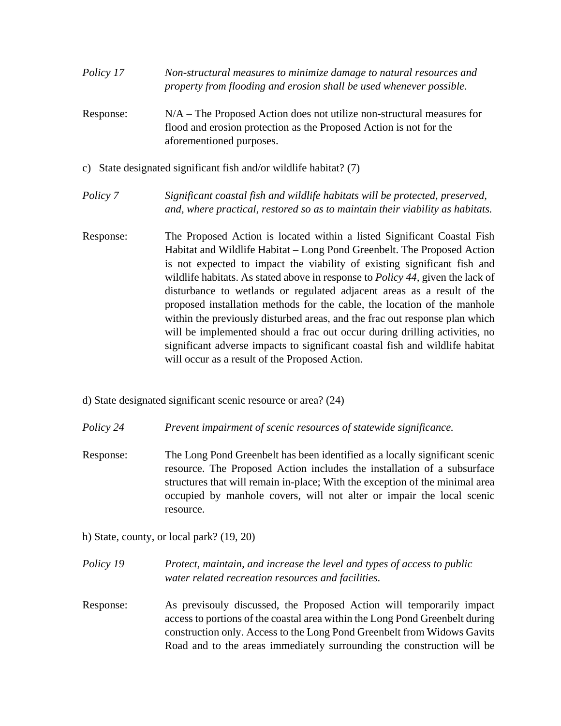| Policy 17 | Non-structural measures to minimize damage to natural resources and |
|-----------|---------------------------------------------------------------------|
|           | property from flooding and erosion shall be used whenever possible. |
|           |                                                                     |

- Response: N/A The Proposed Action does not utilize non-structural measures for flood and erosion protection as the Proposed Action is not for the aforementioned purposes.
- c) State designated significant fish and/or wildlife habitat? (7)
- *Policy 7 Significant coastal fish and wildlife habitats will be protected, preserved, and, where practical, restored so as to maintain their viability as habitats.*
- Response: The Proposed Action is located within a listed Significant Coastal Fish Habitat and Wildlife Habitat – Long Pond Greenbelt. The Proposed Action is not expected to impact the viability of existing significant fish and wildlife habitats. As stated above in response to *Policy 44,* given the lack of disturbance to wetlands or regulated adjacent areas as a result of the proposed installation methods for the cable, the location of the manhole within the previously disturbed areas, and the frac out response plan which will be implemented should a frac out occur during drilling activities, no significant adverse impacts to significant coastal fish and wildlife habitat will occur as a result of the Proposed Action.
- d) State designated significant scenic resource or area? (24)
- *Policy 24 Prevent impairment of scenic resources of statewide significance.*
- Response: The Long Pond Greenbelt has been identified as a locally significant scenic resource. The Proposed Action includes the installation of a subsurface structures that will remain in-place; With the exception of the minimal area occupied by manhole covers, will not alter or impair the local scenic resource.
- h) State, county, or local park? (19, 20)
- *Policy 19 Protect, maintain, and increase the level and types of access to public water related recreation resources and facilities.*
- Response: As previsouly discussed, the Proposed Action will temporarily impact access to portions of the coastal area within the Long Pond Greenbelt during construction only. Access to the Long Pond Greenbelt from Widows Gavits Road and to the areas immediately surrounding the construction will be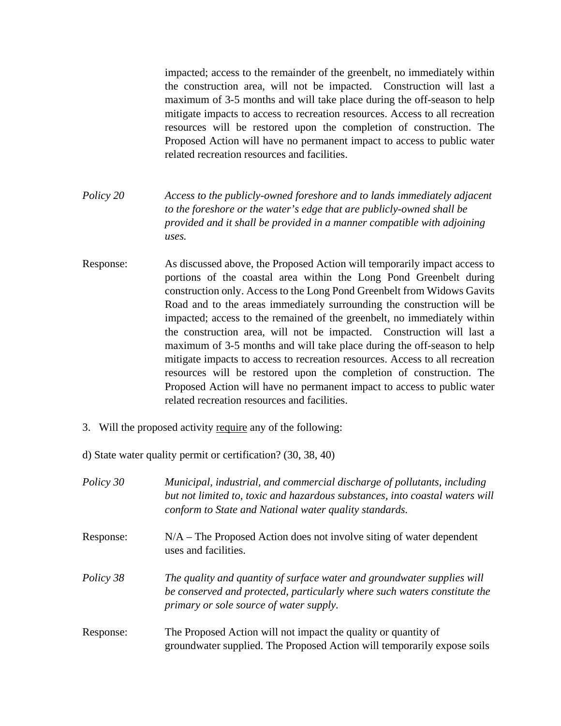impacted; access to the remainder of the greenbelt, no immediately within the construction area, will not be impacted. Construction will last a maximum of 3-5 months and will take place during the off-season to help mitigate impacts to access to recreation resources. Access to all recreation resources will be restored upon the completion of construction. The Proposed Action will have no permanent impact to access to public water related recreation resources and facilities.

- *Policy 20 Access to the publicly-owned foreshore and to lands immediately adjacent to the foreshore or the water's edge that are publicly-owned shall be provided and it shall be provided in a manner compatible with adjoining uses.*
- Response: As discussed above, the Proposed Action will temporarily impact access to portions of the coastal area within the Long Pond Greenbelt during construction only. Access to the Long Pond Greenbelt from Widows Gavits Road and to the areas immediately surrounding the construction will be impacted; access to the remained of the greenbelt, no immediately within the construction area, will not be impacted. Construction will last a maximum of 3-5 months and will take place during the off-season to help mitigate impacts to access to recreation resources. Access to all recreation resources will be restored upon the completion of construction. The Proposed Action will have no permanent impact to access to public water related recreation resources and facilities.
- 3. Will the proposed activity require any of the following:
- d) State water quality permit or certification? (30, 38, 40)

| Policy 30 | Municipal, industrial, and commercial discharge of pollutants, including<br>but not limited to, toxic and hazardous substances, into coastal waters will<br>conform to State and National water quality standards. |
|-----------|--------------------------------------------------------------------------------------------------------------------------------------------------------------------------------------------------------------------|
| Response: | $N/A$ – The Proposed Action does not involve siting of water dependent<br>uses and facilities.                                                                                                                     |
| Policy 38 | The quality and quantity of surface water and groundwater supplies will<br>be conserved and protected, particularly where such waters constitute the<br>primary or sole source of water supply.                    |
| Response: | The Proposed Action will not impact the quality or quantity of<br>groundwater supplied. The Proposed Action will temporarily expose soils                                                                          |